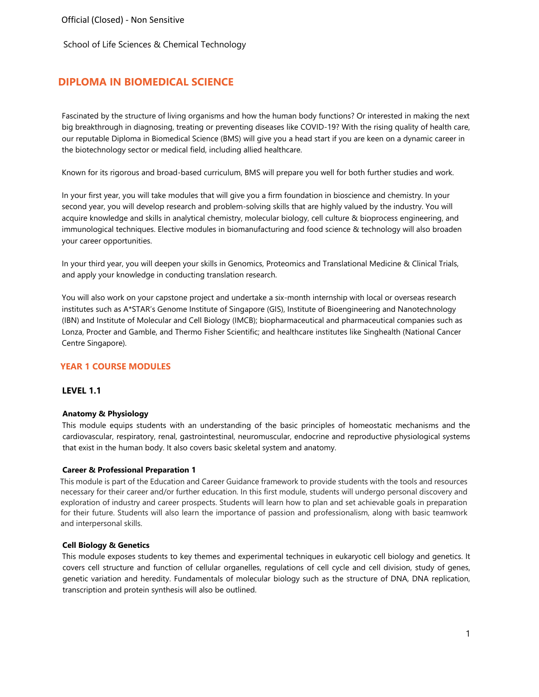# **DIPLOMA IN BIOMEDICAL SCIENCE**

Fascinated by the structure of living organisms and how the human body functions? Or interested in making the next big breakthrough in diagnosing, treating or preventing diseases like COVID-19? With the rising quality of health care, our reputable Diploma in Biomedical Science (BMS) will give you a head start if you are keen on a dynamic career in the biotechnology sector or medical field, including allied healthcare.

Known for its rigorous and broad-based curriculum, BMS will prepare you well for both further studies and work.

In your first year, you will take modules that will give you a firm foundation in bioscience and chemistry. In your second year, you will develop research and problem-solving skills that are highly valued by the industry. You will acquire knowledge and skills in analytical chemistry, molecular biology, cell culture & bioprocess engineering, and immunological techniques. Elective modules in biomanufacturing and food science & technology will also broaden your career opportunities.

In your third year, you will deepen your skills in Genomics, Proteomics and Translational Medicine & Clinical Trials, and apply your knowledge in conducting translation research.

You will also work on your capstone project and undertake a six-month internship with local or overseas research institutes such as A\*STAR's Genome Institute of Singapore (GIS), Institute of Bioengineering and Nanotechnology (IBN) and Institute of Molecular and Cell Biology (IMCB); biopharmaceutical and pharmaceutical companies such as Lonza, Procter and Gamble, and Thermo Fisher Scientific; and healthcare institutes like Singhealth (National Cancer Centre Singapore).

### **YEAR 1 COURSE MODULES**

#### **LEVEL 1.1**

#### **Anatomy & Physiology**

This module equips students with an understanding of the basic principles of homeostatic mechanisms and the cardiovascular, respiratory, renal, gastrointestinal, neuromuscular, endocrine and reproductive physiological systems that exist in the human body. It also covers basic skeletal system and anatomy.

#### **Career & Professional Preparation 1**

This module is part of the Education and Career Guidance framework to provide students with the tools and resources necessary for their career and/or further education. In this first module, students will undergo personal discovery and exploration of industry and career prospects. Students will learn how to plan and set achievable goals in preparation for their future. Students will also learn the importance of passion and professionalism, along with basic teamwork and interpersonal skills.

#### **Cell Biology & Genetics**

This module exposes students to key themes and experimental techniques in eukaryotic cell biology and genetics. It covers cell structure and function of cellular organelles, regulations of cell cycle and cell division, study of genes, genetic variation and heredity. Fundamentals of molecular biology such as the structure of DNA, DNA replication, transcription and protein synthesis will also be outlined.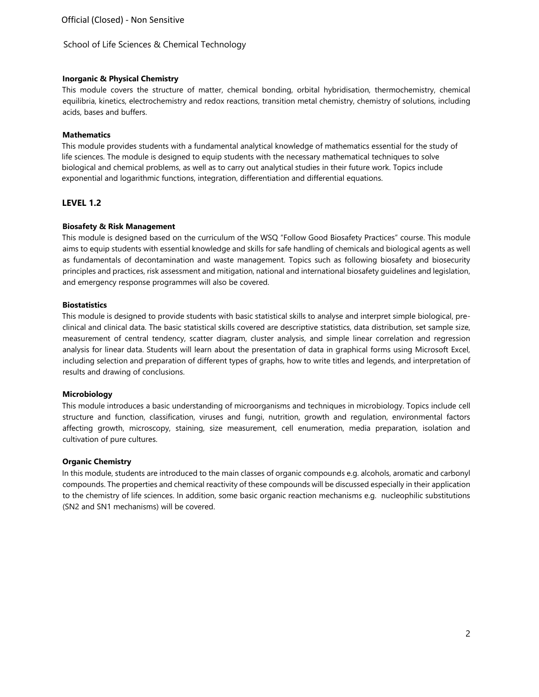### **Inorganic & Physical Chemistry**

This module covers the structure of matter, chemical bonding, orbital hybridisation, thermochemistry, chemical equilibria, kinetics, electrochemistry and redox reactions, transition metal chemistry, chemistry of solutions, including acids, bases and buffers.

### **Mathematics**

This module provides students with a fundamental analytical knowledge of mathematics essential for the study of life sciences. The module is designed to equip students with the necessary mathematical techniques to solve biological and chemical problems, as well as to carry out analytical studies in their future work. Topics include exponential and logarithmic functions, integration, differentiation and differential equations.

## **LEVEL 1.2**

### **Biosafety & Risk Management**

This module is designed based on the curriculum of the WSQ "Follow Good Biosafety Practices" course. This module aims to equip students with essential knowledge and skills for safe handling of chemicals and biological agents as well as fundamentals of decontamination and waste management. Topics such as following biosafety and biosecurity principles and practices, risk assessment and mitigation, national and international biosafety guidelines and legislation, and emergency response programmes will also be covered.

### **Biostatistics**

This module is designed to provide students with basic statistical skills to analyse and interpret simple biological, preclinical and clinical data. The basic statistical skills covered are descriptive statistics, data distribution, set sample size, measurement of central tendency, scatter diagram, cluster analysis, and simple linear correlation and regression analysis for linear data. Students will learn about the presentation of data in graphical forms using Microsoft Excel, including selection and preparation of different types of graphs, how to write titles and legends, and interpretation of results and drawing of conclusions.

### **Microbiology**

This module introduces a basic understanding of microorganisms and techniques in microbiology. Topics include cell structure and function, classification, viruses and fungi, nutrition, growth and regulation, environmental factors affecting growth, microscopy, staining, size measurement, cell enumeration, media preparation, isolation and cultivation of pure cultures.

#### **Organic Chemistry**

In this module, students are introduced to the main classes of organic compounds e.g. alcohols, aromatic and carbonyl compounds. The properties and chemical reactivity of these compounds will be discussed especially in their application to the chemistry of life sciences. In addition, some basic organic reaction mechanisms e.g. nucleophilic substitutions (SN2 and SN1 mechanisms) will be covered.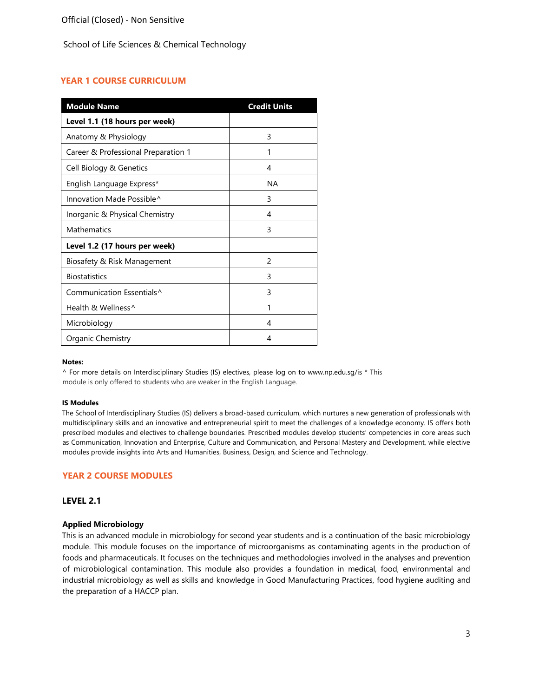## **YEAR 1 COURSE CURRICULUM**

| <b>Module Name</b>                    | <b>Credit Units</b> |
|---------------------------------------|---------------------|
| Level 1.1 (18 hours per week)         |                     |
| Anatomy & Physiology                  | 3                   |
| Career & Professional Preparation 1   | 1                   |
| Cell Biology & Genetics               | 4                   |
| English Language Express*             | NА                  |
| Innovation Made Possible <sup>^</sup> | 3                   |
| Inorganic & Physical Chemistry        | 4                   |
| <b>Mathematics</b>                    | 3                   |
| Level 1.2 (17 hours per week)         |                     |
| Biosafety & Risk Management           | $\mathcal{P}$       |
| <b>Biostatistics</b>                  | 3                   |
| Communication Essentials <sup>^</sup> | 3                   |
| Health & Wellness^                    | 1                   |
| Microbiology                          | 4                   |
| Organic Chemistry                     | 4                   |

#### **Notes:**

^ For more details on Interdisciplinary Studies (IS) electives, please log on [to www.np.edu.sg/is](http://www.np.edu.sg/is) [\\*](http://www.np.edu.sg/is) This module is only offered to students who are weaker in the English Language.

#### **IS Modules**

The School of Interdisciplinary Studies (IS) delivers a broad-based curriculum, which nurtures a new generation of professionals with multidisciplinary skills and an innovative and entrepreneurial spirit to meet the challenges of a knowledge economy. IS offers both prescribed modules and electives to challenge boundaries. Prescribed modules develop students' competencies in core areas such as Communication, Innovation and Enterprise, Culture and Communication, and Personal Mastery and Development, while elective modules provide insights into Arts and Humanities, Business, Design, and Science and Technology.

#### **YEAR 2 COURSE MODULES**

### **LEVEL 2.1**

#### **Applied Microbiology**

This is an advanced module in microbiology for second year students and is a continuation of the basic microbiology module. This module focuses on the importance of microorganisms as contaminating agents in the production of foods and pharmaceuticals. It focuses on the techniques and methodologies involved in the analyses and prevention of microbiological contamination. This module also provides a foundation in medical, food, environmental and industrial microbiology as well as skills and knowledge in Good Manufacturing Practices, food hygiene auditing and the preparation of a HACCP plan.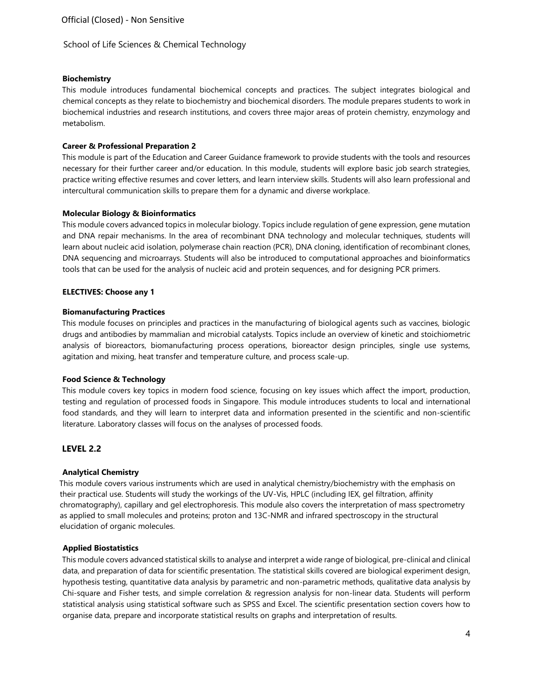### **Biochemistry**

This module introduces fundamental biochemical concepts and practices. The subject integrates biological and chemical concepts as they relate to biochemistry and biochemical disorders. The module prepares students to work in biochemical industries and research institutions, and covers three major areas of protein chemistry, enzymology and metabolism.

### **Career & Professional Preparation 2**

This module is part of the Education and Career Guidance framework to provide students with the tools and resources necessary for their further career and/or education. In this module, students will explore basic job search strategies, practice writing effective resumes and cover letters, and learn interview skills. Students will also learn professional and intercultural communication skills to prepare them for a dynamic and diverse workplace.

### **Molecular Biology & Bioinformatics**

This module covers advanced topics in molecular biology. Topics include regulation of gene expression, gene mutation and DNA repair mechanisms. In the area of recombinant DNA technology and molecular techniques, students will learn about nucleic acid isolation, polymerase chain reaction (PCR), DNA cloning, identification of recombinant clones, DNA sequencing and microarrays. Students will also be introduced to computational approaches and bioinformatics tools that can be used for the analysis of nucleic acid and protein sequences, and for designing PCR primers.

### **ELECTIVES: Choose any 1**

### **Biomanufacturing Practices**

This module focuses on principles and practices in the manufacturing of biological agents such as vaccines, biologic drugs and antibodies by mammalian and microbial catalysts. Topics include an overview of kinetic and stoichiometric analysis of bioreactors, biomanufacturing process operations, bioreactor design principles, single use systems, agitation and mixing, heat transfer and temperature culture, and process scale-up.

#### **Food Science & Technology**

This module covers key topics in modern food science, focusing on key issues which affect the import, production, testing and regulation of processed foods in Singapore. This module introduces students to local and international food standards, and they will learn to interpret data and information presented in the scientific and non-scientific literature. Laboratory classes will focus on the analyses of processed foods.

### **LEVEL 2.2**

### **Analytical Chemistry**

This module covers various instruments which are used in analytical chemistry/biochemistry with the emphasis on their practical use. Students will study the workings of the UV-Vis, HPLC (including IEX, gel filtration, affinity chromatography), capillary and gel electrophoresis. This module also covers the interpretation of mass spectrometry as applied to small molecules and proteins; proton and 13C-NMR and infrared spectroscopy in the structural elucidation of organic molecules.

#### **Applied Biostatistics**

This module covers advanced statistical skills to analyse and interpret a wide range of biological, pre-clinical and clinical data, and preparation of data for scientific presentation. The statistical skills covered are biological experiment design, hypothesis testing, quantitative data analysis by parametric and non-parametric methods, qualitative data analysis by Chi-square and Fisher tests, and simple correlation & regression analysis for non-linear data. Students will perform statistical analysis using statistical software such as SPSS and Excel. The scientific presentation section covers how to organise data, prepare and incorporate statistical results on graphs and interpretation of results.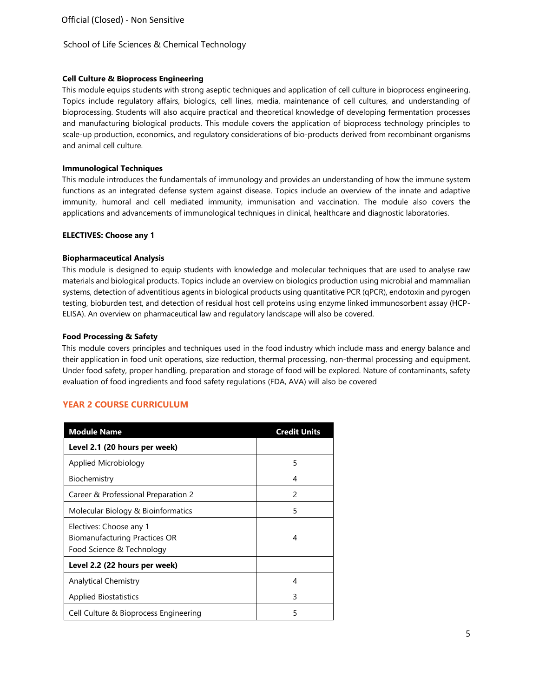### **Cell Culture & Bioprocess Engineering**

This module equips students with strong aseptic techniques and application of cell culture in bioprocess engineering. Topics include regulatory affairs, biologics, cell lines, media, maintenance of cell cultures, and understanding of bioprocessing. Students will also acquire practical and theoretical knowledge of developing fermentation processes and manufacturing biological products. This module covers the application of bioprocess technology principles to scale-up production, economics, and regulatory considerations of bio-products derived from recombinant organisms and animal cell culture.

### **Immunological Techniques**

This module introduces the fundamentals of immunology and provides an understanding of how the immune system functions as an integrated defense system against disease. Topics include an overview of the innate and adaptive immunity, humoral and cell mediated immunity, immunisation and vaccination. The module also covers the applications and advancements of immunological techniques in clinical, healthcare and diagnostic laboratories.

### **ELECTIVES: Choose any 1**

## **Biopharmaceutical Analysis**

This module is designed to equip students with knowledge and molecular techniques that are used to analyse raw materials and biological products. Topics include an overview on biologics production using microbial and mammalian systems, detection of adventitious agents in biological products using quantitative PCR (qPCR), endotoxin and pyrogen testing, bioburden test, and detection of residual host cell proteins using enzyme linked immunosorbent assay (HCP-ELISA). An overview on pharmaceutical law and regulatory landscape will also be covered.

## **Food Processing & Safety**

This module covers principles and techniques used in the food industry which include mass and energy balance and their application in food unit operations, size reduction, thermal processing, non-thermal processing and equipment. Under food safety, proper handling, preparation and storage of food will be explored. Nature of contaminants, safety evaluation of food ingredients and food safety regulations (FDA, AVA) will also be covered

# **YEAR 2 COURSE CURRICULUM**

| <b>Module Name</b>                                                                           | <b>Credit Units</b> |
|----------------------------------------------------------------------------------------------|---------------------|
| Level 2.1 (20 hours per week)                                                                |                     |
| Applied Microbiology                                                                         | 5                   |
| Biochemistry                                                                                 | 4                   |
| Career & Professional Preparation 2                                                          | $\mathcal{P}$       |
| Molecular Biology & Bioinformatics                                                           | 5                   |
| Electives: Choose any 1<br><b>Biomanufacturing Practices OR</b><br>Food Science & Technology | 4                   |
| Level 2.2 (22 hours per week)                                                                |                     |
| <b>Analytical Chemistry</b>                                                                  | 4                   |
| <b>Applied Biostatistics</b>                                                                 | 3                   |
| Cell Culture & Bioprocess Engineering                                                        | 5                   |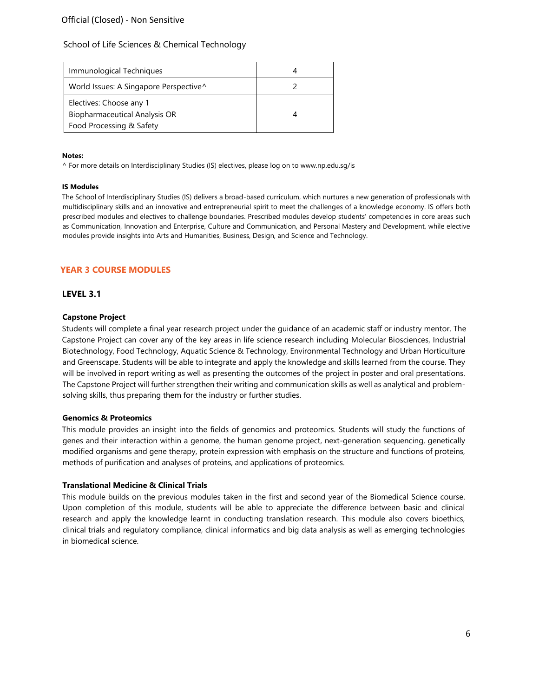# Official (Closed) - Non Sensitive

### School of Life Sciences & Chemical Technology

| Immunological Techniques                                                                    |  |
|---------------------------------------------------------------------------------------------|--|
| World Issues: A Singapore Perspective^                                                      |  |
| Electives: Choose any 1<br><b>Biopharmaceutical Analysis OR</b><br>Food Processing & Safety |  |

#### **Notes:**

^ For more details on Interdisciplinary Studies (IS) electives, please log on [to www.np.edu.sg/is](http://www.np.edu.sg/is)

#### **IS Modules**

The School of Interdisciplinary Studies (IS) delivers a broad-based curriculum, which nurtures a new generation of professionals with multidisciplinary skills and an innovative and entrepreneurial spirit to meet the challenges of a knowledge economy. IS offers both prescribed modules and electives to challenge boundaries. Prescribed modules develop students' competencies in core areas such as Communication, Innovation and Enterprise, Culture and Communication, and Personal Mastery and Development, while elective modules provide insights into Arts and Humanities, Business, Design, and Science and Technology.

# **YEAR 3 COURSE MODULES**

### **LEVEL 3.1**

### **Capstone Project**

Students will complete a final year research project under the guidance of an academic staff or industry mentor. The Capstone Project can cover any of the key areas in life science research including Molecular Biosciences, Industrial Biotechnology, Food Technology, Aquatic Science & Technology, Environmental Technology and Urban Horticulture and Greenscape. Students will be able to integrate and apply the knowledge and skills learned from the course. They will be involved in report writing as well as presenting the outcomes of the project in poster and oral presentations. The Capstone Project will further strengthen their writing and communication skills as well as analytical and problemsolving skills, thus preparing them for the industry or further studies.

#### **Genomics & Proteomics**

This module provides an insight into the fields of genomics and proteomics. Students will study the functions of genes and their interaction within a genome, the human genome project, next-generation sequencing, genetically modified organisms and gene therapy, protein expression with emphasis on the structure and functions of proteins, methods of purification and analyses of proteins, and applications of proteomics.

#### **Translational Medicine & Clinical Trials**

This module builds on the previous modules taken in the first and second year of the Biomedical Science course. Upon completion of this module, students will be able to appreciate the difference between basic and clinical research and apply the knowledge learnt in conducting translation research. This module also covers bioethics, clinical trials and regulatory compliance, clinical informatics and big data analysis as well as emerging technologies in biomedical science.